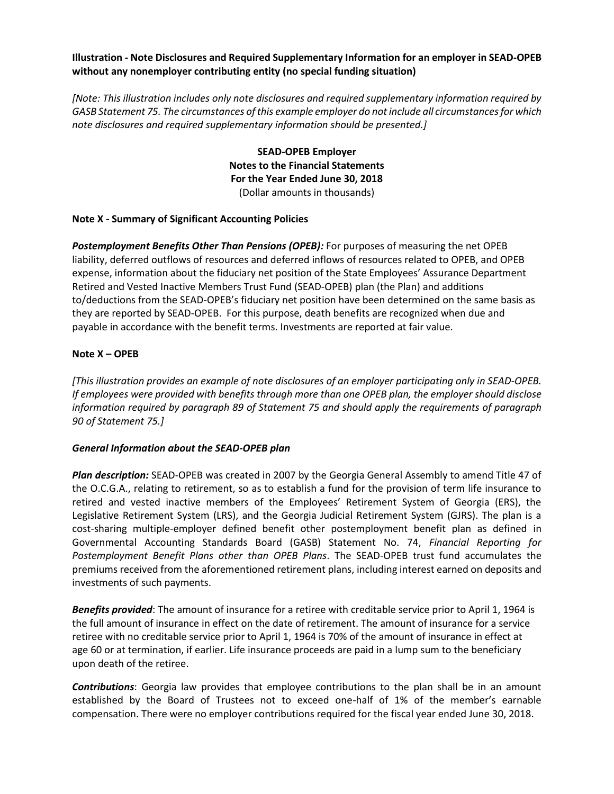**Illustration - Note Disclosures and Required Supplementary Information for an employer in SEAD-OPEB without any nonemployer contributing entity (no special funding situation)**

*[Note: This illustration includes only note disclosures and required supplementary information required by GASB Statement 75. The circumstances of this example employer do not include all circumstances for which note disclosures and required supplementary information should be presented.]*

> **SEAD-OPEB Employer Notes to the Financial Statements For the Year Ended June 30, 2018** (Dollar amounts in thousands)

#### **Note X - Summary of Significant Accounting Policies**

*Postemployment Benefits Other Than Pensions (OPEB):* For purposes of measuring the net OPEB liability, deferred outflows of resources and deferred inflows of resources related to OPEB, and OPEB expense, information about the fiduciary net position of the State Employees' Assurance Department Retired and Vested Inactive Members Trust Fund (SEAD-OPEB) plan (the Plan) and additions to/deductions from the SEAD-OPEB's fiduciary net position have been determined on the same basis as they are reported by SEAD-OPEB. For this purpose, death benefits are recognized when due and payable in accordance with the benefit terms. Investments are reported at fair value.

### **Note X – OPEB**

*[This illustration provides an example of note disclosures of an employer participating only in SEAD-OPEB. If employees were provided with benefits through more than one OPEB plan, the employer should disclose information required by paragraph 89 of Statement 75 and should apply the requirements of paragraph 90 of Statement 75.]*

#### *General Information about the SEAD-OPEB plan*

*Plan description:* SEAD-OPEB was created in 2007 by the Georgia General Assembly to amend Title 47 of the O.C.G.A., relating to retirement, so as to establish a fund for the provision of term life insurance to retired and vested inactive members of the Employees' Retirement System of Georgia (ERS), the Legislative Retirement System (LRS), and the Georgia Judicial Retirement System (GJRS). The plan is a cost-sharing multiple-employer defined benefit other postemployment benefit plan as defined in Governmental Accounting Standards Board (GASB) Statement No. 74, *Financial Reporting for Postemployment Benefit Plans other than OPEB Plans*. The SEAD-OPEB trust fund accumulates the premiums received from the aforementioned retirement plans, including interest earned on deposits and investments of such payments.

*Benefits provided*: The amount of insurance for a retiree with creditable service prior to April 1, 1964 is the full amount of insurance in effect on the date of retirement. The amount of insurance for a service retiree with no creditable service prior to April 1, 1964 is 70% of the amount of insurance in effect at age 60 or at termination, if earlier. Life insurance proceeds are paid in a lump sum to the beneficiary upon death of the retiree.

*Contributions*: Georgia law provides that employee contributions to the plan shall be in an amount established by the Board of Trustees not to exceed one-half of 1% of the member's earnable compensation. There were no employer contributions required for the fiscal year ended June 30, 2018.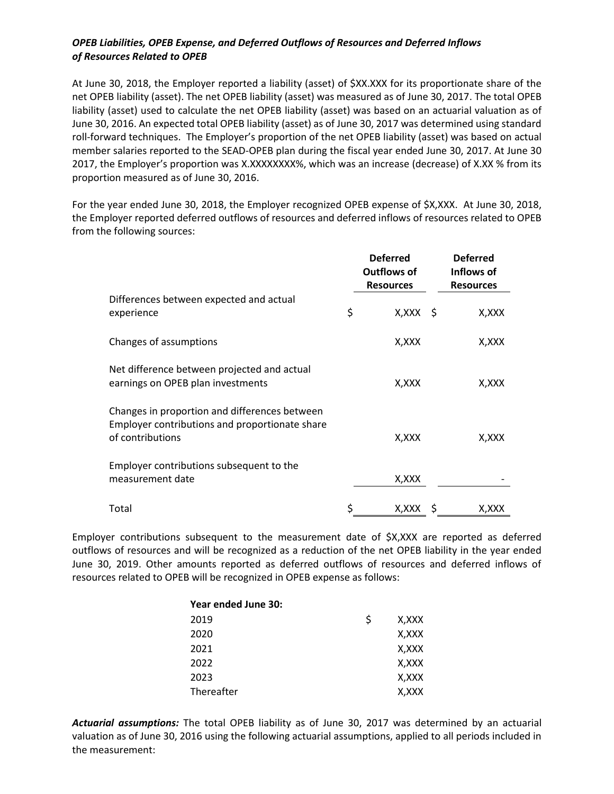## *OPEB Liabilities, OPEB Expense, and Deferred Outflows of Resources and Deferred Inflows of Resources Related to OPEB*

At June 30, 2018, the Employer reported a liability (asset) of \$XX.XXX for its proportionate share of the net OPEB liability (asset). The net OPEB liability (asset) was measured as of June 30, 2017. The total OPEB liability (asset) used to calculate the net OPEB liability (asset) was based on an actuarial valuation as of June 30, 2016. An expected total OPEB liability (asset) as of June 30, 2017 was determined using standard roll-forward techniques. The Employer's proportion of the net OPEB liability (asset) was based on actual member salaries reported to the SEAD-OPEB plan during the fiscal year ended June 30, 2017. At June 30 2017, the Employer's proportion was X.XXXXXXXX%, which was an increase (decrease) of X.XX % from its proportion measured as of June 30, 2016.

For the year ended June 30, 2018, the Employer recognized OPEB expense of \$X,XXX. At June 30, 2018, the Employer reported deferred outflows of resources and deferred inflows of resources related to OPEB from the following sources:

|                                                                                                                     | <b>Deferred</b><br>Outflows of<br><b>Resources</b> | <b>Deferred</b><br>Inflows of<br><b>Resources</b> |
|---------------------------------------------------------------------------------------------------------------------|----------------------------------------------------|---------------------------------------------------|
| Differences between expected and actual<br>experience                                                               | \$<br>$X, XXX \S$                                  | X,XXX                                             |
| Changes of assumptions                                                                                              | X, XXX                                             | X,XXX                                             |
| Net difference between projected and actual<br>earnings on OPEB plan investments                                    | X,XXX                                              | X,XXX                                             |
| Changes in proportion and differences between<br>Employer contributions and proportionate share<br>of contributions | X,XXX                                              | X,XXX                                             |
| Employer contributions subsequent to the<br>measurement date                                                        | X, XXX                                             |                                                   |
| Total                                                                                                               | X,XXX                                              | X,XXX                                             |

Employer contributions subsequent to the measurement date of \$X,XXX are reported as deferred outflows of resources and will be recognized as a reduction of the net OPEB liability in the year ended June 30, 2019. Other amounts reported as deferred outflows of resources and deferred inflows of resources related to OPEB will be recognized in OPEB expense as follows:

| Year ended June 30: |             |
|---------------------|-------------|
| 2019                | \$<br>X,XXX |
| 2020                | X, XXX      |
| 2021                | X,XXX       |
| 2022                | X,XXX       |
| 2023                | X,XXX       |
| Thereafter          | X,XXX       |

*Actuarial assumptions:* The total OPEB liability as of June 30, 2017 was determined by an actuarial valuation as of June 30, 2016 using the following actuarial assumptions, applied to all periods included in the measurement: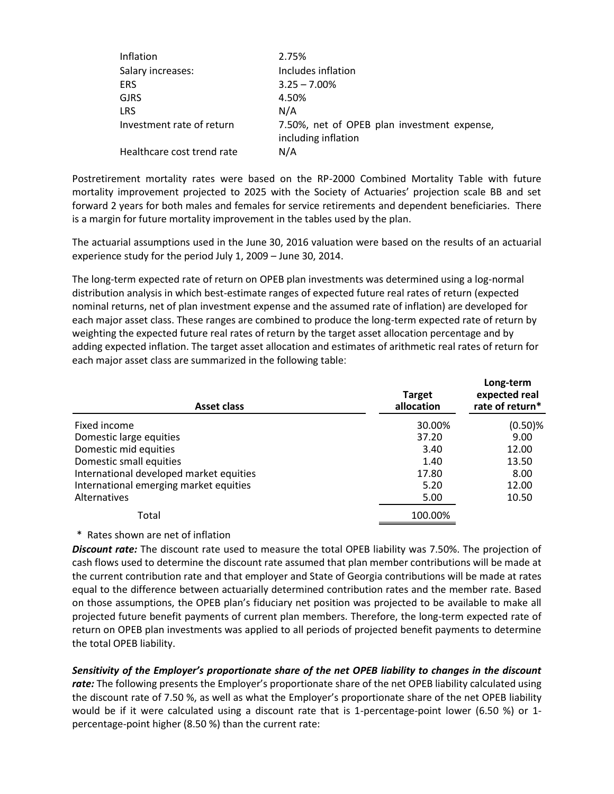| Inflation                  | 2.75%                                                              |
|----------------------------|--------------------------------------------------------------------|
| Salary increases:          | Includes inflation                                                 |
| <b>ERS</b>                 | $3.25 - 7.00\%$                                                    |
| <b>GJRS</b>                | 4.50%                                                              |
| <b>LRS</b>                 | N/A                                                                |
| Investment rate of return  | 7.50%, net of OPEB plan investment expense,<br>including inflation |
| Healthcare cost trend rate | N/A                                                                |

Postretirement mortality rates were based on the RP-2000 Combined Mortality Table with future mortality improvement projected to 2025 with the Society of Actuaries' projection scale BB and set forward 2 years for both males and females for service retirements and dependent beneficiaries. There is a margin for future mortality improvement in the tables used by the plan.

The actuarial assumptions used in the June 30, 2016 valuation were based on the results of an actuarial experience study for the period July 1, 2009 – June 30, 2014.

The long-term expected rate of return on OPEB plan investments was determined using a log-normal distribution analysis in which best-estimate ranges of expected future real rates of return (expected nominal returns, net of plan investment expense and the assumed rate of inflation) are developed for each major asset class. These ranges are combined to produce the long-term expected rate of return by weighting the expected future real rates of return by the target asset allocation percentage and by adding expected inflation. The target asset allocation and estimates of arithmetic real rates of return for each major asset class are summarized in the following table:

| <b>Asset class</b>                      | <b>Target</b><br>allocation | Long-term<br>expected real<br>rate of return* |
|-----------------------------------------|-----------------------------|-----------------------------------------------|
| Fixed income                            | 30.00%                      | $(0.50)$ %                                    |
| Domestic large equities                 | 37.20                       | 9.00                                          |
| Domestic mid equities                   | 3.40                        | 12.00                                         |
| Domestic small equities                 | 1.40                        | 13.50                                         |
| International developed market equities | 17.80                       | 8.00                                          |
| International emerging market equities  | 5.20                        | 12.00                                         |
| Alternatives                            | 5.00                        | 10.50                                         |
| Total                                   | 100.00%                     |                                               |

#### \* Rates shown are net of inflation

*Discount rate:* The discount rate used to measure the total OPEB liability was 7.50%. The projection of cash flows used to determine the discount rate assumed that plan member contributions will be made at the current contribution rate and that employer and State of Georgia contributions will be made at rates equal to the difference between actuarially determined contribution rates and the member rate. Based on those assumptions, the OPEB plan's fiduciary net position was projected to be available to make all projected future benefit payments of current plan members. Therefore, the long-term expected rate of return on OPEB plan investments was applied to all periods of projected benefit payments to determine the total OPEB liability.

*Sensitivity of the Employer's proportionate share of the net OPEB liability to changes in the discount*  rate: The following presents the Employer's proportionate share of the net OPEB liability calculated using the discount rate of 7.50 %, as well as what the Employer's proportionate share of the net OPEB liability would be if it were calculated using a discount rate that is 1-percentage-point lower (6.50 %) or 1 percentage-point higher (8.50 %) than the current rate: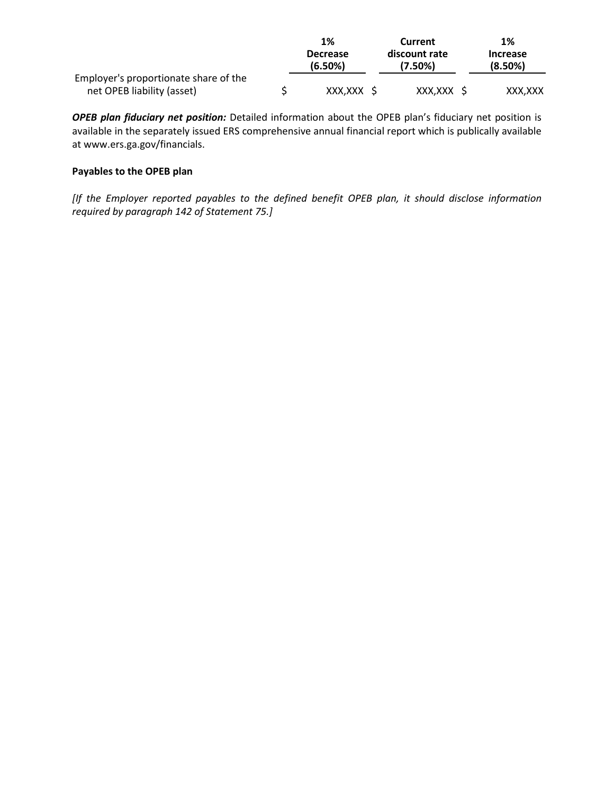|                                       | 1%                         | Current                  | 1%                         |
|---------------------------------------|----------------------------|--------------------------|----------------------------|
|                                       | <b>Decrease</b><br>(6.50%) | discount rate<br>(7.50%) | <b>Increase</b><br>(8.50%) |
| Employer's proportionate share of the |                            |                          |                            |
| net OPEB liability (asset)            | XXX.XXX                    | XXX.XXX S                | XXX.XXX                    |

*OPEB plan fiduciary net position:* Detailed information about the OPEB plan's fiduciary net position is available in the separately issued ERS comprehensive annual financial report which is publically available at www.ers.ga.gov/financials.

## **Payables to the OPEB plan**

*[If the Employer reported payables to the defined benefit OPEB plan, it should disclose information required by paragraph 142 of Statement 75.]*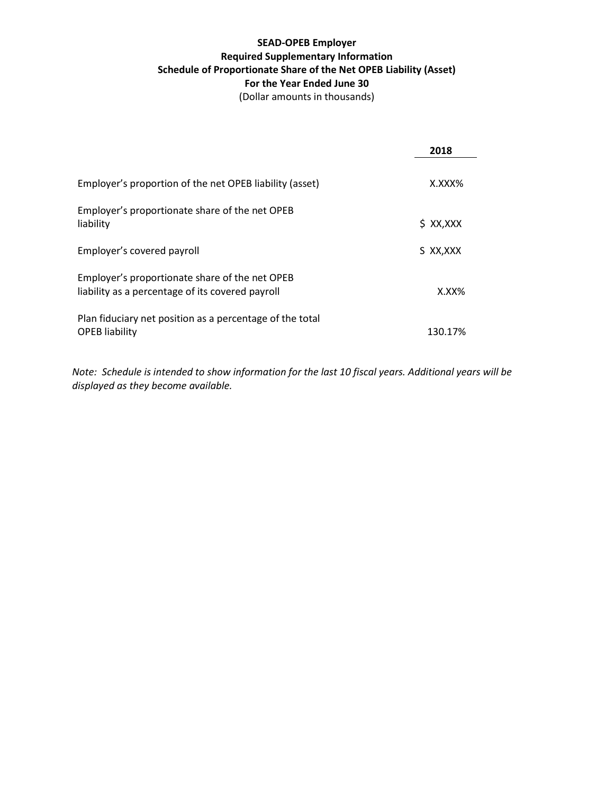# **SEAD-OPEB Employer Required Supplementary Information Schedule of Proportionate Share of the Net OPEB Liability (Asset) For the Year Ended June 30**

(Dollar amounts in thousands)

|                                                                                                    | 2018        |
|----------------------------------------------------------------------------------------------------|-------------|
| Employer's proportion of the net OPEB liability (asset)                                            | X.XXX%      |
| Employer's proportionate share of the net OPEB<br>liability                                        | $$$ XX, XXX |
| Employer's covered payroll                                                                         | S XX, XXX   |
| Employer's proportionate share of the net OPEB<br>liability as a percentage of its covered payroll | $X.XX\%$    |
| Plan fiduciary net position as a percentage of the total<br><b>OPEB</b> liability                  | 130.17%     |

*Note: Schedule is intended to show information for the last 10 fiscal years. Additional years will be displayed as they become available.*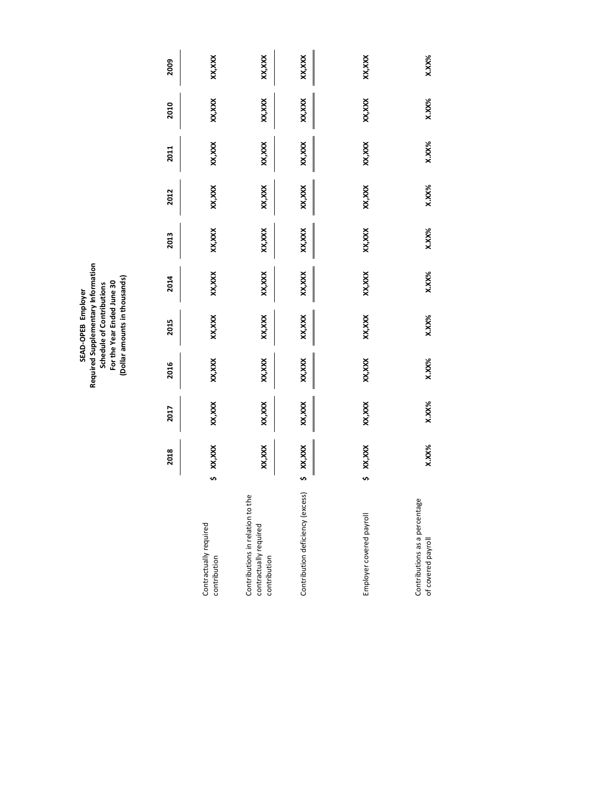SEAD-OPEB Employer<br>Required Supplementary Information<br>Schedule of Contributions<br>For the Year Ended June 30<br>(Dollar amounts in thousands) **Required Supplementary Information (Dollar amounts in thousands) For the Year Ended June 30 Schedule of Contributions SEAD-OPEB Employer**

|                                                                            |    | 2018    | 2017   | 2016   | 2015    | 2014     | 2013   | 2012   | 2011     | 2010    | 2009     |
|----------------------------------------------------------------------------|----|---------|--------|--------|---------|----------|--------|--------|----------|---------|----------|
| Contractually required<br>contribution                                     | S, | XXX,XX  | XX,XXX | XX,XXX | XX, XXX | XX, XXX  | XX,XXX | XX,XXX | XX, XXX  | XX, XXX | xxx,xx   |
| Contributions in relation to the<br>contractually required<br>contribution |    | xxx,xxx | XX,XXX | XX,XXX | XX, XXX | XX, XXX  | XX,XXX | XX,XXX | XX, XXX  | XX, XXX | XX,XXX   |
| Contribution deficiency (excess                                            | s, | XX,XXX  | XX,XXX | XX,XXX | XX, XXX | XX,XXX   | XX,XXX | XX,XXX | XX, XXX  | XX, XXX | xxx,xxx  |
| Employer covered payroll                                                   | s  | XX, XXX | XX,XXX | XX,XXX | XX, XXX | XX, XXX  | XX,XXX | XX,XXX | XX, XXX  | XX,XXX  | xxx,xx   |
| Contributions as a percentage<br>of covered payroll                        |    | X.XX%   | X.XX%  | X.XX%  | X.XX%   | $X.XX\%$ | X.XX%  | X.XX%  | $X.XX\%$ | X.XX%   | $X.XX\%$ |